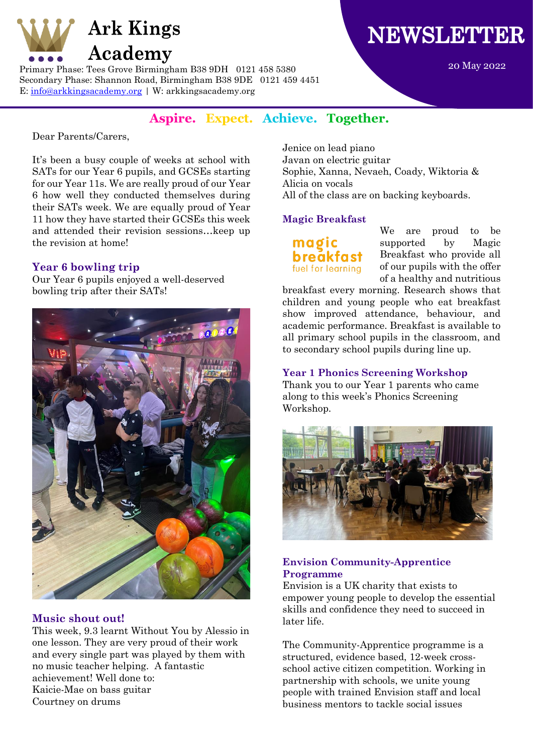

Primary Phase: Tees Grove Birmingham B38 9DH 0121 458 5380 Secondary Phase: Shannon Road, Birmingham B38 9DE 0121 459 4451 E: [info@arkkingsacademy.org](mailto:info@arkkingsacademy.org) | W: arkkingsacademy.org

# **NEWSLETTER**

20 May 2022

## **Aspire. Expect. Achieve. Together.**

Dear Parents/Carers,

It's been a busy couple of weeks at school with SATs for our Year 6 pupils, and GCSEs starting for our Year 11s. We are really proud of our Year 6 how well they conducted themselves during their SATs week. We are equally proud of Year 11 how they have started their GCSEs this week and attended their revision sessions…keep up the revision at home!

## **Year 6 bowling trip**

Our Year 6 pupils enjoyed a well-deserved bowling trip after their SATs!



## **Music shout out!**

This week, 9.3 learnt Without You by Alessio in one lesson. They are very proud of their work and every single part was played by them with no music teacher helping. A fantastic achievement! Well done to: Kaicie-Mae on bass guitar Courtney on drums

Jenice on lead piano Javan on electric guitar Sophie, Xanna, Nevaeh, Coady, Wiktoria & Alicia on vocals All of the class are on backing keyboards.

## **Magic Breakfast**

maøi **breakfast** fuel for learning

We are proud to be supported by Magic Breakfast who provide all of our pupils with the offer of a healthy and nutritious

breakfast every morning. Research shows that children and young people who eat breakfast show improved attendance, behaviour, and academic performance. Breakfast is available to all primary school pupils in the classroom, and to secondary school pupils during line up.

## **Year 1 Phonics Screening Workshop**

Thank you to our Year 1 parents who came along to this week's Phonics Screening Workshop.



## **Envision Community-Apprentice Programme**

Envision is a UK charity that exists to empower young people to develop the essential skills and confidence they need to succeed in later life.

The Community-Apprentice programme is a structured, evidence based, 12-week crossschool active citizen competition. Working in partnership with schools, we unite young people with trained Envision staff and local business mentors to tackle social issues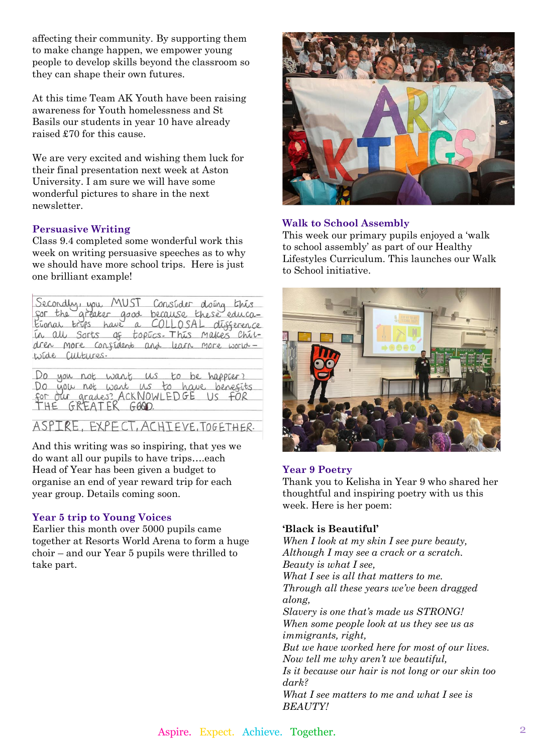affecting their community. By supporting them to make change happen, we empower young people to develop skills beyond the classroom so they can shape their own futures.

At this time Team AK Youth have been raising awareness for Youth homelessness and St Basils our students in year 10 have already raised £70 for this cause.

We are very excited and wishing them luck for their final presentation next week at Aston University. I am sure we will have some wonderful pictures to share in the next newsletter.

## **Persuasive Writing**

Class 9.4 completed some wonderful work this week on writing persuasive speeches as to why we should have more school trips. Here is just one brilliant example!

Secondly, you MUST Consider doing this for the areater good because these educa-Etonal trips have a COLLOSAL difference in all sorts of topics. This makes chitdren more confident and learn more world wide Cultures.

Do you not want us to be happer? Do you not want us to have benefits for our grades? ACKNOWLED GE US FOR<br>for our grades? ACKNOWLED GE US FOR

ASPIRE, EXPECT, ACHTEVE, TOGETHER.

And this writing was so inspiring, that yes we do want all our pupils to have trips….each Head of Year has been given a budget to organise an end of year reward trip for each year group. Details coming soon.

## **Year 5 trip to Young Voices**

Earlier this month over 5000 pupils came together at Resorts World Arena to form a huge choir – and our Year 5 pupils were thrilled to take part.



## **Walk to School Assembly**

This week our primary pupils enjoyed a 'walk to school assembly' as part of our Healthy Lifestyles Curriculum. This launches our Walk to School initiative.



#### **Year 9 Poetry**

Thank you to Kelisha in Year 9 who shared her thoughtful and inspiring poetry with us this week. Here is her poem:

#### **'Black is Beautiful'**

*When I look at my skin I see pure beauty, Although I may see a crack or a scratch. Beauty is what I see, What I see is all that matters to me. Through all these years we've been dragged along, Slavery is one that's made us STRONG! When some people look at us they see us as immigrants, right, But we have worked here for most of our lives. Now tell me why aren't we beautiful, Is it because our hair is not long or our skin too dark? What I see matters to me and what I see is BEAUTY!*